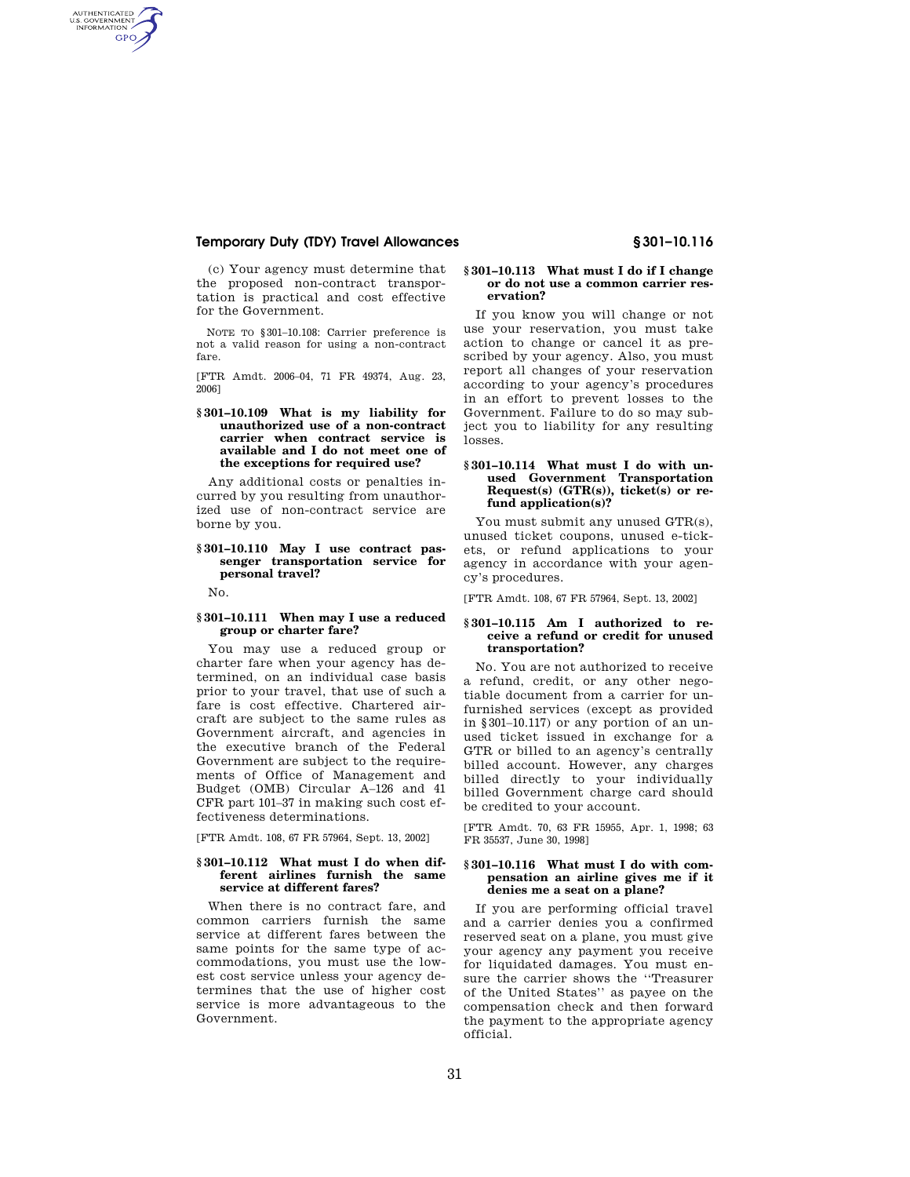# **Temporary Duty (TDY) Travel Allowances § 301–10.116**

(c) Your agency must determine that the proposed non-contract transportation is practical and cost effective for the Government.

NOTE TO §301–10.108: Carrier preference is not a valid reason for using a non-contract fare.

[FTR Amdt. 2006–04, 71 FR 49374, Aug. 23, 2006]

### **§ 301–10.109 What is my liability for unauthorized use of a non-contract carrier when contract service is available and I do not meet one of the exceptions for required use?**

Any additional costs or penalties incurred by you resulting from unauthorized use of non-contract service are borne by you.

# **§ 301–10.110 May I use contract passenger transportation service for personal travel?**

No.

AUTHENTICATED<br>U.S. GOVERNMENT<br>INFORMATION **GPO** 

# **§ 301–10.111 When may I use a reduced group or charter fare?**

You may use a reduced group or charter fare when your agency has determined, on an individual case basis prior to your travel, that use of such a fare is cost effective. Chartered aircraft are subject to the same rules as Government aircraft, and agencies in the executive branch of the Federal Government are subject to the requirements of Office of Management and Budget (OMB) Circular A–126 and 41 CFR part 101–37 in making such cost effectiveness determinations.

[FTR Amdt. 108, 67 FR 57964, Sept. 13, 2002]

#### **§ 301–10.112 What must I do when different airlines furnish the same service at different fares?**

When there is no contract fare, and common carriers furnish the same service at different fares between the same points for the same type of accommodations, you must use the lowest cost service unless your agency determines that the use of higher cost service is more advantageous to the Government.

# **§ 301–10.113 What must I do if I change or do not use a common carrier reservation?**

If you know you will change or not use your reservation, you must take action to change or cancel it as prescribed by your agency. Also, you must report all changes of your reservation according to your agency's procedures in an effort to prevent losses to the Government. Failure to do so may subject you to liability for any resulting losses.

# **§ 301–10.114 What must I do with unused Government Transportation**  Request(s) (GTR(s)), ticket(s) or re**fund application(s)?**

You must submit any unused GTR(s), unused ticket coupons, unused e-tickets, or refund applications to your agency in accordance with your agency's procedures.

[FTR Amdt. 108, 67 FR 57964, Sept. 13, 2002]

#### **§ 301–10.115 Am I authorized to receive a refund or credit for unused transportation?**

No. You are not authorized to receive a refund, credit, or any other negotiable document from a carrier for unfurnished services (except as provided in §301–10.117) or any portion of an unused ticket issued in exchange for a GTR or billed to an agency's centrally billed account. However, any charges billed directly to your individually billed Government charge card should be credited to your account.

[FTR Amdt. 70, 63 FR 15955, Apr. 1, 1998; 63 FR 35537, June 30, 1998]

#### **§ 301–10.116 What must I do with compensation an airline gives me if it denies me a seat on a plane?**

If you are performing official travel and a carrier denies you a confirmed reserved seat on a plane, you must give your agency any payment you receive for liquidated damages. You must ensure the carrier shows the ''Treasurer of the United States'' as payee on the compensation check and then forward the payment to the appropriate agency official.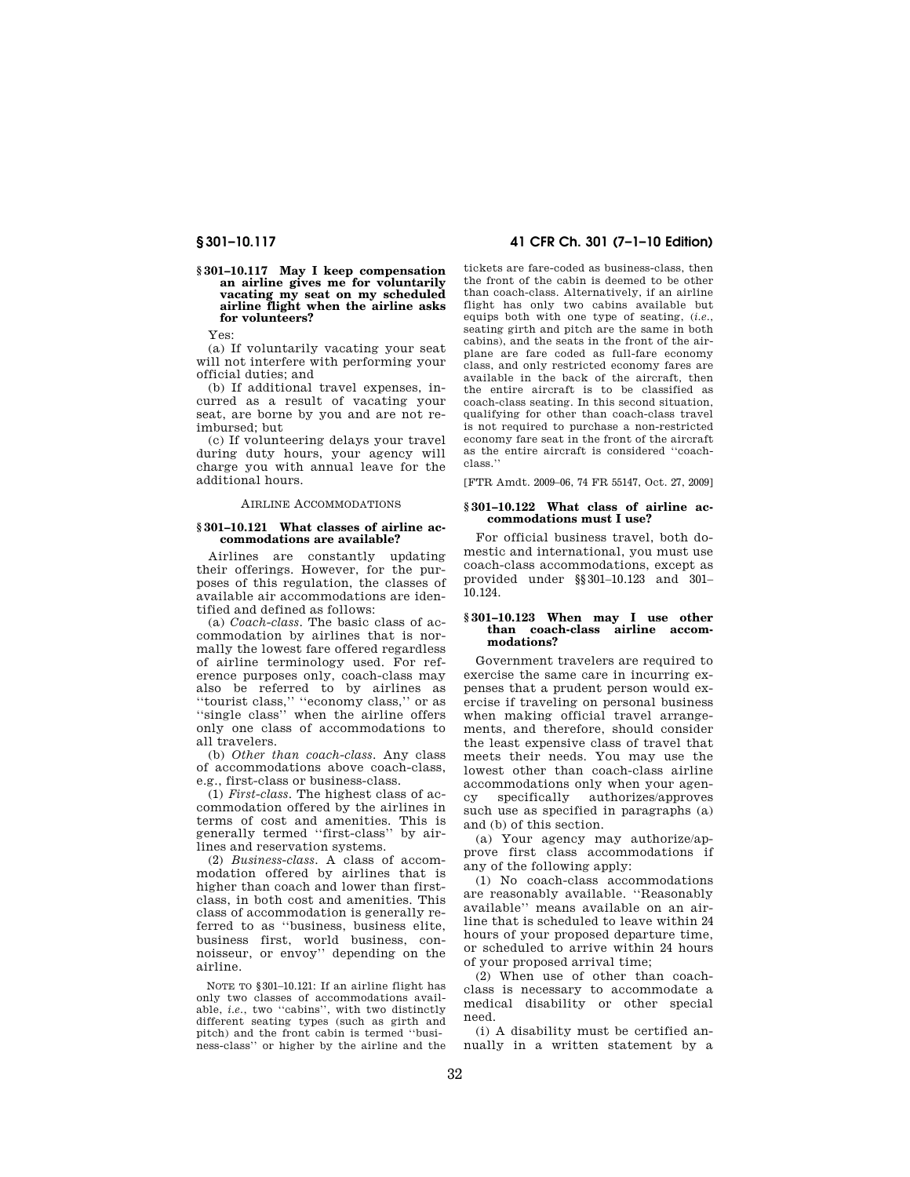#### **§ 301–10.117 May I keep compensation an airline gives me for voluntarily vacating my seat on my scheduled airline flight when the airline asks for volunteers?**

Yes:

(a) If voluntarily vacating your seat will not interfere with performing your official duties; and

(b) If additional travel expenses, incurred as a result of vacating your seat, are borne by you and are not reimbursed; but

(c) If volunteering delays your travel during duty hours, your agency will charge you with annual leave for the additional hours.

### AIRLINE ACCOMMODATIONS

## **§ 301–10.121 What classes of airline accommodations are available?**

Airlines are constantly updating their offerings. However, for the purposes of this regulation, the classes of available air accommodations are identified and defined as follows:

(a) *Coach-class*. The basic class of accommodation by airlines that is normally the lowest fare offered regardless of airline terminology used. For reference purposes only, coach-class may also be referred to by airlines as ''tourist class,'' ''economy class,'' or as ''single class'' when the airline offers only one class of accommodations to all travelers.

(b) *Other than coach-class*. Any class of accommodations above coach-class, e.g., first-class or business-class.

(1) *First-class*. The highest class of accommodation offered by the airlines in terms of cost and amenities. This is generally termed ''first-class'' by airlines and reservation systems.

(2) *Business-class*. A class of accommodation offered by airlines that is higher than coach and lower than firstclass, in both cost and amenities. This class of accommodation is generally referred to as ''business, business elite, business first, world business, connoisseur, or envoy'' depending on the airline.

NOTE TO §301–10.121: If an airline flight has only two classes of accommodations available, *i.e.*, two "cabins", with two distinctly different seating types (such as girth and pitch) and the front cabin is termed ''business-class'' or higher by the airline and the

# **§ 301–10.117 41 CFR Ch. 301 (7–1–10 Edition)**

tickets are fare-coded as business-class, then the front of the cabin is deemed to be other than coach-class. Alternatively, if an airline flight has only two cabins available but equips both with one type of seating, (*i.e.*, seating girth and pitch are the same in both cabins), and the seats in the front of the airplane are fare coded as full-fare economy class, and only restricted economy fares are available in the back of the aircraft, then the entire aircraft is to be classified as coach-class seating. In this second situation, qualifying for other than coach-class travel is not required to purchase a non-restricted economy fare seat in the front of the aircraft as the entire aircraft is considered ''coachclass.''

[FTR Amdt. 2009–06, 74 FR 55147, Oct. 27, 2009]

# **§ 301–10.122 What class of airline accommodations must I use?**

For official business travel, both domestic and international, you must use coach-class accommodations, except as provided under §§301–10.123 and 301– 10.124.

# **§ 301–10.123 When may I use other than coach-class airline accommodations?**

Government travelers are required to exercise the same care in incurring expenses that a prudent person would exercise if traveling on personal business when making official travel arrangements, and therefore, should consider the least expensive class of travel that meets their needs. You may use the lowest other than coach-class airline accommodations only when your agency specifically authorizes/approves such use as specified in paragraphs (a) and (b) of this section.

(a) Your agency may authorize/approve first class accommodations if any of the following apply:

(1) No coach-class accommodations are reasonably available. ''Reasonably available'' means available on an airline that is scheduled to leave within 24 hours of your proposed departure time, or scheduled to arrive within 24 hours of your proposed arrival time;

(2) When use of other than coachclass is necessary to accommodate a medical disability or other special need.

(i) A disability must be certified annually in a written statement by a